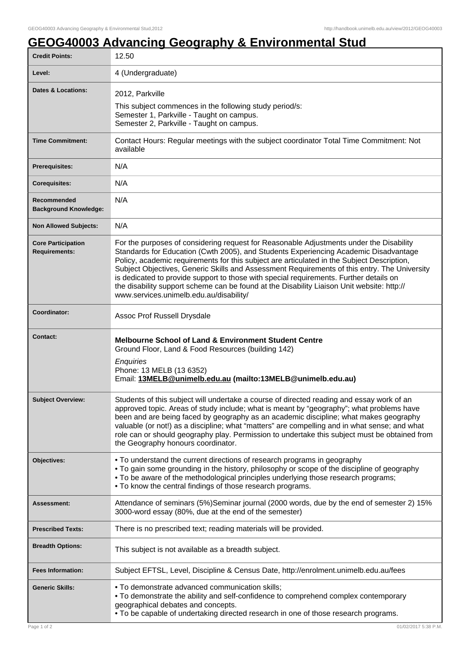## **GEOG40003 Advancing Geography & Environmental Stud**

| <b>Credit Points:</b>                             | 12.50                                                                                                                                                                                                                                                                                                                                                                                                                                                                                                                                                                                                            |
|---------------------------------------------------|------------------------------------------------------------------------------------------------------------------------------------------------------------------------------------------------------------------------------------------------------------------------------------------------------------------------------------------------------------------------------------------------------------------------------------------------------------------------------------------------------------------------------------------------------------------------------------------------------------------|
| Level:                                            | 4 (Undergraduate)                                                                                                                                                                                                                                                                                                                                                                                                                                                                                                                                                                                                |
| Dates & Locations:                                | 2012, Parkville<br>This subject commences in the following study period/s:<br>Semester 1, Parkville - Taught on campus.<br>Semester 2, Parkville - Taught on campus.                                                                                                                                                                                                                                                                                                                                                                                                                                             |
| <b>Time Commitment:</b>                           | Contact Hours: Regular meetings with the subject coordinator Total Time Commitment: Not<br>available                                                                                                                                                                                                                                                                                                                                                                                                                                                                                                             |
| <b>Prerequisites:</b>                             | N/A                                                                                                                                                                                                                                                                                                                                                                                                                                                                                                                                                                                                              |
| <b>Corequisites:</b>                              | N/A                                                                                                                                                                                                                                                                                                                                                                                                                                                                                                                                                                                                              |
| Recommended<br><b>Background Knowledge:</b>       | N/A                                                                                                                                                                                                                                                                                                                                                                                                                                                                                                                                                                                                              |
| <b>Non Allowed Subjects:</b>                      | N/A                                                                                                                                                                                                                                                                                                                                                                                                                                                                                                                                                                                                              |
| <b>Core Participation</b><br><b>Requirements:</b> | For the purposes of considering request for Reasonable Adjustments under the Disability<br>Standards for Education (Cwth 2005), and Students Experiencing Academic Disadvantage<br>Policy, academic requirements for this subject are articulated in the Subject Description,<br>Subject Objectives, Generic Skills and Assessment Requirements of this entry. The University<br>is dedicated to provide support to those with special requirements. Further details on<br>the disability support scheme can be found at the Disability Liaison Unit website: http://<br>www.services.unimelb.edu.au/disability/ |
| Coordinator:                                      | Assoc Prof Russell Drysdale                                                                                                                                                                                                                                                                                                                                                                                                                                                                                                                                                                                      |
| Contact:                                          | <b>Melbourne School of Land &amp; Environment Student Centre</b><br>Ground Floor, Land & Food Resources (building 142)<br>Enquiries<br>Phone: 13 MELB (13 6352)<br>Email: 13MELB@unimelb.edu.au (mailto:13MELB@unimelb.edu.au)                                                                                                                                                                                                                                                                                                                                                                                   |
| <b>Subject Overview:</b>                          | Students of this subject will undertake a course of directed reading and essay work of an<br>approved topic. Areas of study include; what is meant by "geography"; what problems have<br>been and are being faced by geography as an academic discipline; what makes geography<br>valuable (or not!) as a discipline; what "matters" are compelling and in what sense; and what<br>role can or should geography play. Permission to undertake this subject must be obtained from<br>the Geography honours coordinator.                                                                                           |
| <b>Objectives:</b>                                | • To understand the current directions of research programs in geography<br>• To gain some grounding in the history, philosophy or scope of the discipline of geography<br>• To be aware of the methodological principles underlying those research programs;<br>• To know the central findings of those research programs.                                                                                                                                                                                                                                                                                      |
| <b>Assessment:</b>                                | Attendance of seminars (5%)Seminar journal (2000 words, due by the end of semester 2) 15%<br>3000-word essay (80%, due at the end of the semester)                                                                                                                                                                                                                                                                                                                                                                                                                                                               |
| <b>Prescribed Texts:</b>                          | There is no prescribed text; reading materials will be provided.                                                                                                                                                                                                                                                                                                                                                                                                                                                                                                                                                 |
| <b>Breadth Options:</b>                           | This subject is not available as a breadth subject.                                                                                                                                                                                                                                                                                                                                                                                                                                                                                                                                                              |
| <b>Fees Information:</b>                          | Subject EFTSL, Level, Discipline & Census Date, http://enrolment.unimelb.edu.au/fees                                                                                                                                                                                                                                                                                                                                                                                                                                                                                                                             |
| <b>Generic Skills:</b>                            | . To demonstrate advanced communication skills;<br>• To demonstrate the ability and self-confidence to comprehend complex contemporary<br>geographical debates and concepts.<br>• To be capable of undertaking directed research in one of those research programs.                                                                                                                                                                                                                                                                                                                                              |
| Page 1 of 2                                       | 01/02/2017 5:38 P.M.                                                                                                                                                                                                                                                                                                                                                                                                                                                                                                                                                                                             |